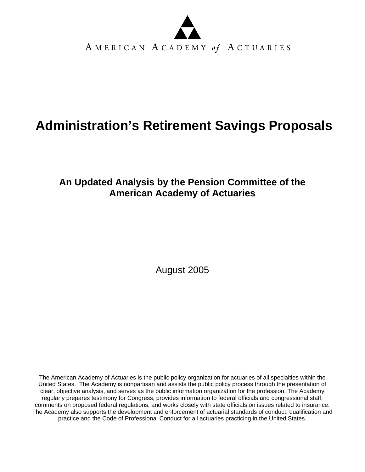

# **Administration's Retirement Savings Proposals**

## **An Updated Analysis by the Pension Committee of the American Academy of Actuaries**

August 2005

The American Academy of Actuaries is the public policy organization for actuaries of all specialties within the United States. The Academy is nonpartisan and assists the public policy process through the presentation of clear, objective analysis, and serves as the public information organization for the profession. The Academy regularly prepares testimony for Congress, provides information to federal officials and congressional staff, comments on proposed federal regulations, and works closely with state officials on issues related to insurance. The Academy also supports the development and enforcement of actuarial standards of conduct, qualification and practice and the Code of Professional Conduct for all actuaries practicing in the United States.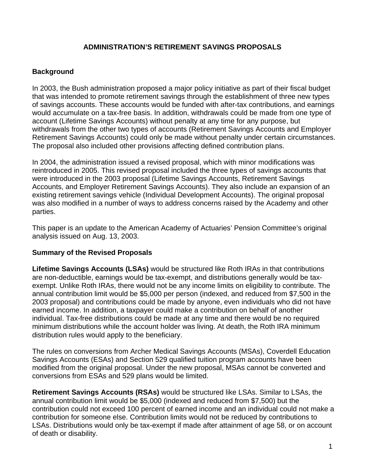#### **ADMINISTRATION'S RETIREMENT SAVINGS PROPOSALS**

#### **Background**

In 2003, the Bush administration proposed a major policy initiative as part of their fiscal budget that was intended to promote retirement savings through the establishment of three new types of savings accounts. These accounts would be funded with after-tax contributions, and earnings would accumulate on a tax-free basis. In addition, withdrawals could be made from one type of account (Lifetime Savings Accounts) without penalty at any time for any purpose, but withdrawals from the other two types of accounts (Retirement Savings Accounts and Employer Retirement Savings Accounts) could only be made without penalty under certain circumstances. The proposal also included other provisions affecting defined contribution plans.

In 2004, the administration issued a revised proposal, which with minor modifications was reintroduced in 2005. This revised proposal included the three types of savings accounts that were introduced in the 2003 proposal (Lifetime Savings Accounts, Retirement Savings Accounts, and Employer Retirement Savings Accounts). They also include an expansion of an existing retirement savings vehicle (Individual Development Accounts). The original proposal was also modified in a number of ways to address concerns raised by the Academy and other parties.

This paper is an update to the American Academy of Actuaries' Pension Committee's original analysis issued on Aug. 13, 2003.

#### **Summary of the Revised Proposals**

**Lifetime Savings Accounts (LSAs)** would be structured like Roth IRAs in that contributions are non-deductible, earnings would be tax-exempt, and distributions generally would be taxexempt. Unlike Roth IRAs, there would not be any income limits on eligibility to contribute. The annual contribution limit would be \$5,000 per person (indexed, and reduced from \$7,500 in the 2003 proposal) and contributions could be made by anyone, even individuals who did not have earned income. In addition, a taxpayer could make a contribution on behalf of another individual. Tax-free distributions could be made at any time and there would be no required minimum distributions while the account holder was living. At death, the Roth IRA minimum distribution rules would apply to the beneficiary.

The rules on conversions from Archer Medical Savings Accounts (MSAs), Coverdell Education Savings Accounts (ESAs) and Section 529 qualified tuition program accounts have been modified from the original proposal. Under the new proposal, MSAs cannot be converted and conversions from ESAs and 529 plans would be limited.

**Retirement Savings Accounts (RSAs)** would be structured like LSAs. Similar to LSAs, the annual contribution limit would be \$5,000 (indexed and reduced from \$7,500) but the contribution could not exceed 100 percent of earned income and an individual could not make a contribution for someone else. Contribution limits would not be reduced by contributions to LSAs. Distributions would only be tax-exempt if made after attainment of age 58, or on account of death or disability.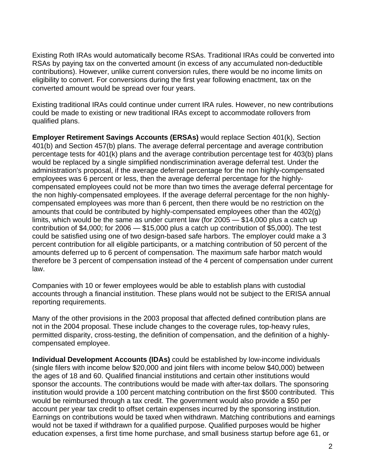Existing Roth IRAs would automatically become RSAs. Traditional IRAs could be converted into RSAs by paying tax on the converted amount (in excess of any accumulated non-deductible contributions). However, unlike current conversion rules, there would be no income limits on eligibility to convert. For conversions during the first year following enactment, tax on the converted amount would be spread over four years.

Existing traditional IRAs could continue under current IRA rules. However, no new contributions could be made to existing or new traditional IRAs except to accommodate rollovers from qualified plans.

**Employer Retirement Savings Accounts (ERSAs)** would replace Section 401(k), Section 401(b) and Section 457(b) plans. The average deferral percentage and average contribution percentage tests for 401(k) plans and the average contribution percentage test for 403(b) plans would be replaced by a single simplified nondiscrimination average deferral test. Under the administration's proposal, if the average deferral percentage for the non highly-compensated employees was 6 percent or less, then the average deferral percentage for the highlycompensated employees could not be more than two times the average deferral percentage for the non highly-compensated employees. If the average deferral percentage for the non highlycompensated employees was more than 6 percent, then there would be no restriction on the amounts that could be contributed by highly-compensated employees other than the 402(g) limits, which would be the same as under current law (for 2005 — \$14,000 plus a catch up contribution of \$4,000; for 2006 — \$15,000 plus a catch up contribution of \$5,000). The test could be satisfied using one of two design-based safe harbors. The employer could make a 3 percent contribution for all eligible participants, or a matching contribution of 50 percent of the amounts deferred up to 6 percent of compensation. The maximum safe harbor match would therefore be 3 percent of compensation instead of the 4 percent of compensation under current law.

Companies with 10 or fewer employees would be able to establish plans with custodial accounts through a financial institution. These plans would not be subject to the ERISA annual reporting requirements.

Many of the other provisions in the 2003 proposal that affected defined contribution plans are not in the 2004 proposal. These include changes to the coverage rules, top-heavy rules, permitted disparity, cross-testing, the definition of compensation, and the definition of a highlycompensated employee.

**Individual Development Accounts (IDAs)** could be established by low-income individuals (single filers with income below \$20,000 and joint filers with income below \$40,000) between the ages of 18 and 60. Qualified financial institutions and certain other institutions would sponsor the accounts. The contributions would be made with after-tax dollars. The sponsoring institution would provide a 100 percent matching contribution on the first \$500 contributed. This would be reimbursed through a tax credit. The government would also provide a \$50 per account per year tax credit to offset certain expenses incurred by the sponsoring institution. Earnings on contributions would be taxed when withdrawn. Matching contributions and earnings would not be taxed if withdrawn for a qualified purpose. Qualified purposes would be higher education expenses, a first time home purchase, and small business startup before age 61, or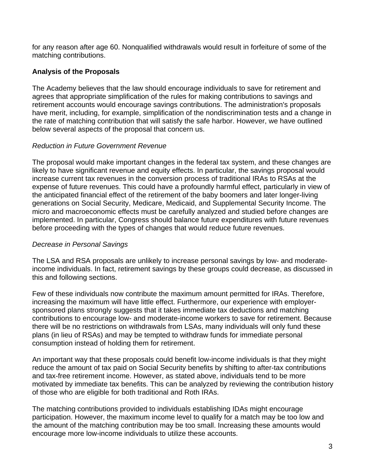for any reason after age 60. Nonqualified withdrawals would result in forfeiture of some of the matching contributions.

#### **Analysis of the Proposals**

The Academy believes that the law should encourage individuals to save for retirement and agrees that appropriate simplification of the rules for making contributions to savings and retirement accounts would encourage savings contributions. The administration's proposals have merit, including, for example, simplification of the nondiscrimination tests and a change in the rate of matching contribution that will satisfy the safe harbor. However, we have outlined below several aspects of the proposal that concern us.

#### *Reduction in Future Government Revenue*

The proposal would make important changes in the federal tax system, and these changes are likely to have significant revenue and equity effects. In particular, the savings proposal would increase current tax revenues in the conversion process of traditional IRAs to RSAs at the expense of future revenues. This could have a profoundly harmful effect, particularly in view of the anticipated financial effect of the retirement of the baby boomers and later longer-living generations on Social Security, Medicare, Medicaid, and Supplemental Security Income. The micro and macroeconomic effects must be carefully analyzed and studied before changes are implemented. In particular, Congress should balance future expenditures with future revenues before proceeding with the types of changes that would reduce future revenues.

#### *Decrease in Personal Savings*

The LSA and RSA proposals are unlikely to increase personal savings by low- and moderateincome individuals. In fact, retirement savings by these groups could decrease, as discussed in this and following sections.

Few of these individuals now contribute the maximum amount permitted for IRAs. Therefore, increasing the maximum will have little effect. Furthermore, our experience with employersponsored plans strongly suggests that it takes immediate tax deductions and matching contributions to encourage low- and moderate-income workers to save for retirement. Because there will be no restrictions on withdrawals from LSAs, many individuals will only fund these plans (in lieu of RSAs) and may be tempted to withdraw funds for immediate personal consumption instead of holding them for retirement.

An important way that these proposals could benefit low-income individuals is that they might reduce the amount of tax paid on Social Security benefits by shifting to after-tax contributions and tax-free retirement income. However, as stated above, individuals tend to be more motivated by immediate tax benefits. This can be analyzed by reviewing the contribution history of those who are eligible for both traditional and Roth IRAs.

The matching contributions provided to individuals establishing IDAs might encourage participation. However, the maximum income level to qualify for a match may be too low and the amount of the matching contribution may be too small. Increasing these amounts would encourage more low-income individuals to utilize these accounts.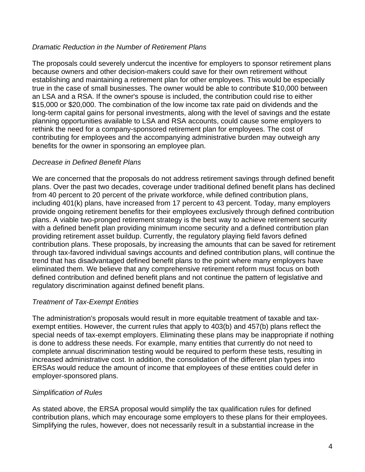#### *Dramatic Reduction in the Number of Retirement Plans*

The proposals could severely undercut the incentive for employers to sponsor retirement plans because owners and other decision-makers could save for their own retirement without establishing and maintaining a retirement plan for other employees. This would be especially true in the case of small businesses. The owner would be able to contribute \$10,000 between an LSA and a RSA. If the owner's spouse is included, the contribution could rise to either \$15,000 or \$20,000. The combination of the low income tax rate paid on dividends and the long-term capital gains for personal investments, along with the level of savings and the estate planning opportunities available to LSA and RSA accounts, could cause some employers to rethink the need for a company-sponsored retirement plan for employees. The cost of contributing for employees and the accompanying administrative burden may outweigh any benefits for the owner in sponsoring an employee plan.

#### *Decrease in Defined Benefit Plans*

We are concerned that the proposals do not address retirement savings through defined benefit plans. Over the past two decades, coverage under traditional defined benefit plans has declined from 40 percent to 20 percent of the private workforce, while defined contribution plans, including 401(k) plans, have increased from 17 percent to 43 percent. Today, many employers provide ongoing retirement benefits for their employees exclusively through defined contribution plans. A viable two-pronged retirement strategy is the best way to achieve retirement security with a defined benefit plan providing minimum income security and a defined contribution plan providing retirement asset buildup. Currently, the regulatory playing field favors defined contribution plans. These proposals, by increasing the amounts that can be saved for retirement through tax-favored individual savings accounts and defined contribution plans, will continue the trend that has disadvantaged defined benefit plans to the point where many employers have eliminated them. We believe that any comprehensive retirement reform must focus on both defined contribution and defined benefit plans and not continue the pattern of legislative and regulatory discrimination against defined benefit plans.

#### *Treatment of Tax-Exempt Entities*

The administration's proposals would result in more equitable treatment of taxable and taxexempt entities. However, the current rules that apply to 403(b) and 457(b) plans reflect the special needs of tax-exempt employers. Eliminating these plans may be inappropriate if nothing is done to address these needs. For example, many entities that currently do not need to complete annual discrimination testing would be required to perform these tests, resulting in increased administrative cost. In addition, the consolidation of the different plan types into ERSAs would reduce the amount of income that employees of these entities could defer in employer-sponsored plans.

#### *Simplification of Rules*

As stated above, the ERSA proposal would simplify the tax qualification rules for defined contribution plans, which may encourage some employers to these plans for their employees. Simplifying the rules, however, does not necessarily result in a substantial increase in the